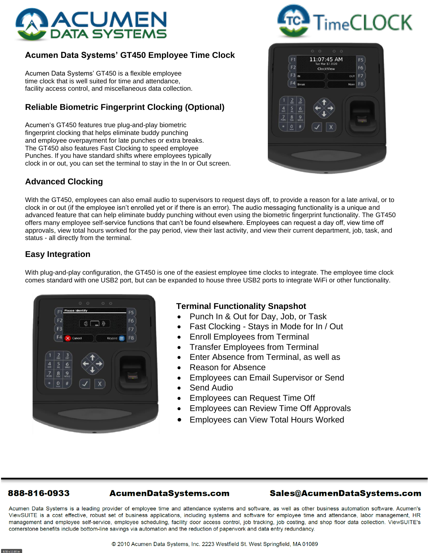

# **Acumen Data Systems' GT450 Employee Time Clock**

Acumen Data Systems' GT450 is a flexible employee time clock that is well suited for time and attendance, facility access control, and miscellaneous data collection.

# **Reliable Biometric Fingerprint Clocking (Optional)**

Acumen's GT450 features true plug-and-play biometric fingerprint clocking that helps eliminate buddy punching and employee overpayment for late punches or extra breaks. The GT450 also features Fast Clocking to speed employee Punches. If you have standard shifts where employees typically clock in or out, you can set the terminal to stay in the In or Out screen.

## **Advanced Clocking**





With the GT450, employees can also email audio to supervisors to request days off, to provide a reason for a late arrival, or to clock in or out (if the employee isn't enrolled yet or if there is an error). The audio messaging functionality is a unique and advanced feature that can help eliminate buddy punching without even using the biometric fingerprint functionality. The GT450 offers many employee self-service functions that can't be found elsewhere. Employees can request a day off, view time off approvals, view total hours worked for the pay period, view their last activity, and view their current department, job, task, and status - all directly from the terminal.

### **Easy Integration**

With plug-and-play configuration, the GT450 is one of the easiest employee time clocks to integrate. The employee time clock comes standard with one USB2 port, but can be expanded to house three USB2 ports to integrate WiFi or other functionality.

| F1<br>F <sub>2</sub><br>F <sub>3</sub>                                                                          | 00<br>$\circ$ $\circ$<br><b>Please identify</b><br>$($ $\Box$ $)$ | F5<br>F6<br>F7 |
|-----------------------------------------------------------------------------------------------------------------|-------------------------------------------------------------------|----------------|
|                                                                                                                 | F4 X Cancel<br>Keypad <b>HE</b>                                   | F <sub>8</sub> |
| $\frac{2}{405}$<br>$\frac{5}{m}$<br>$\frac{4}{91}$<br>$\frac{8}{100}$<br>$\frac{7}{100}$<br>$\overline{0}$<br>٠ | $\frac{3}{100}$<br>$6 \overline{6}$<br>$9$ wxyz<br>$\#$<br>X      |                |
|                                                                                                                 |                                                                   |                |

### **Terminal Functionality Snapshot**

- Punch In & Out for Day, Job, or Task
- Fast Clocking Stays in Mode for In / Out
- Enroll Employees from Terminal
- Transfer Employees from Terminal
- Enter Absence from Terminal, as well as
- Reason for Absence
- Employees can Email Supervisor or Send
- Send Audio
- Employees can Request Time Off
- Employees can Review Time Off Approvals
- Employees can View Total Hours Worked

#### 888-816-0933

### Sales@AcumenDataSystems.com

Acumen Data Systems is a leading provider of employee time and attendance systems and software, as well as other business automation software. Acumen's ViewSUITE is a cost effective, robust set of business applications, including systems and software for employee time and attendance, labor management, HR management and employee self-service, employee scheduling, facility door access control, job tracking, job costing, and shop floor data collection. ViewSUITE's cornerstone benefits include bottom-line savings via automation and the reduction of paperwork and data entry redundancy.

**AcumenDataSystems.com**